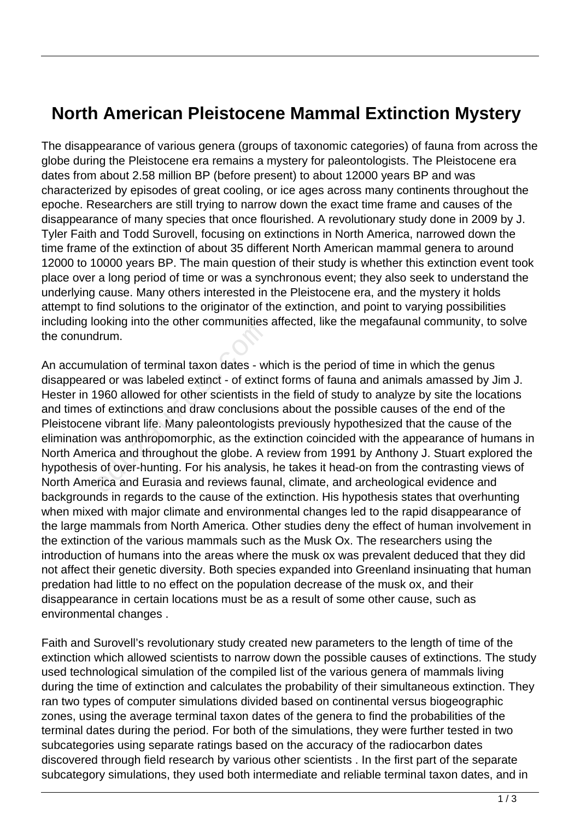## **North American Pleistocene Mammal Extinction Mystery**

The disappearance of various genera (groups of taxonomic categories) of fauna from across the globe during the Pleistocene era remains a mystery for paleontologists. The Pleistocene era dates from about 2.58 million BP (before present) to about 12000 years BP and was characterized by episodes of great cooling, or ice ages across many continents throughout the epoche. Researchers are still trying to narrow down the exact time frame and causes of the disappearance of many species that once flourished. A revolutionary study done in 2009 by J. Tyler Faith and Todd Surovell, focusing on extinctions in North America, narrowed down the time frame of the extinction of about 35 different North American mammal genera to around 12000 to 10000 years BP. The main question of their study is whether this extinction event took place over a long period of time or was a synchronous event; they also seek to understand the underlying cause. Many others interested in the Pleistocene era, and the mystery it holds attempt to find solutions to the originator of the extinction, and point to varying possibilities including looking into the other communities affected, like the megafaunal community, to solve the conundrum.

An accumulation of terminal taxon dates - which is the period of time in which the genus disappeared or was labeled extinct - of extinct forms of fauna and animals amassed by Jim J. Hester in 1960 allowed for other scientists in the field of study to analyze by site the locations and times of extinctions and draw conclusions about the possible causes of the end of the Pleistocene vibrant life. Many paleontologists previously hypothesized that the cause of the elimination was anthropomorphic, as the extinction coincided with the appearance of humans in North America and throughout the globe. A review from 1991 by Anthony J. Stuart explored the hypothesis of over-hunting. For his analysis, he takes it head-on from the contrasting views of North America and Eurasia and reviews faunal, climate, and archeological evidence and backgrounds in regards to the cause of the extinction. His hypothesis states that overhunting when mixed with major climate and environmental changes led to the rapid disappearance of the large mammals from North America. Other studies deny the effect of human involvement in the extinction of the various mammals such as the Musk Ox. The researchers using the introduction of humans into the areas where the musk ox was prevalent deduced that they did not affect their genetic diversity. Both species expanded into Greenland insinuating that human predation had little to no effect on the population decrease of the musk ox, and their disappearance in certain locations must be as a result of some other cause, such as environmental changes . drum.<br>
Jation of terminal taxon dates - w<br>
ed or was labeled extinct - of extin<br>
1960 allowed for other scientists in<br>
of extinctions and draw conclusion<br>
e vibrant life. Many paleontologist<br>
1 was anthropomorphic, as the

Faith and Surovell's revolutionary study created new parameters to the length of time of the extinction which allowed scientists to narrow down the possible causes of extinctions. The study used technological simulation of the compiled list of the various genera of mammals living during the time of extinction and calculates the probability of their simultaneous extinction. They ran two types of computer simulations divided based on continental versus biogeographic zones, using the average terminal taxon dates of the genera to find the probabilities of the terminal dates during the period. For both of the simulations, they were further tested in two subcategories using separate ratings based on the accuracy of the radiocarbon dates discovered through field research by various other scientists . In the first part of the separate subcategory simulations, they used both intermediate and reliable terminal taxon dates, and in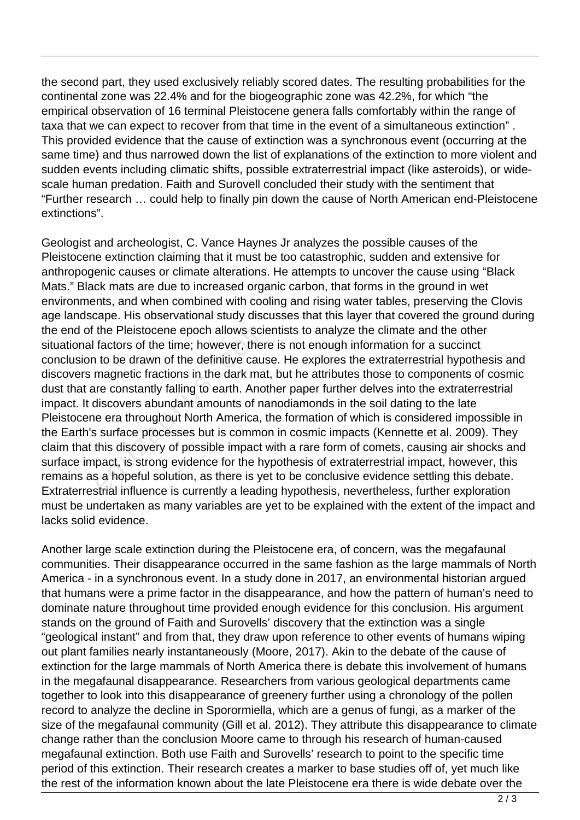the second part, they used exclusively reliably scored dates. The resulting probabilities for the continental zone was 22.4% and for the biogeographic zone was 42.2%, for which "the empirical observation of 16 terminal Pleistocene genera falls comfortably within the range of taxa that we can expect to recover from that time in the event of a simultaneous extinction" . This provided evidence that the cause of extinction was a synchronous event (occurring at the same time) and thus narrowed down the list of explanations of the extinction to more violent and sudden events including climatic shifts, possible extraterrestrial impact (like asteroids), or widescale human predation. Faith and Surovell concluded their study with the sentiment that "Further research … could help to finally pin down the cause of North American end-Pleistocene extinctions".

Geologist and archeologist, C. Vance Haynes Jr analyzes the possible causes of the Pleistocene extinction claiming that it must be too catastrophic, sudden and extensive for anthropogenic causes or climate alterations. He attempts to uncover the cause using "Black Mats." Black mats are due to increased organic carbon, that forms in the ground in wet environments, and when combined with cooling and rising water tables, preserving the Clovis age landscape. His observational study discusses that this layer that covered the ground during the end of the Pleistocene epoch allows scientists to analyze the climate and the other situational factors of the time; however, there is not enough information for a succinct conclusion to be drawn of the definitive cause. He explores the extraterrestrial hypothesis and discovers magnetic fractions in the dark mat, but he attributes those to components of cosmic dust that are constantly falling to earth. Another paper further delves into the extraterrestrial impact. It discovers abundant amounts of nanodiamonds in the soil dating to the late Pleistocene era throughout North America, the formation of which is considered impossible in the Earth's surface processes but is common in cosmic impacts (Kennette et al. 2009). They claim that this discovery of possible impact with a rare form of comets, causing air shocks and surface impact, is strong evidence for the hypothesis of extraterrestrial impact, however, this remains as a hopeful solution, as there is yet to be conclusive evidence settling this debate. Extraterrestrial influence is currently a leading hypothesis, nevertheless, further exploration must be undertaken as many variables are yet to be explained with the extent of the impact and lacks solid evidence. the Pleistocene epoch allows scie<br>factors of the time; however, then<br>to be drawn of the definitive caus<br>magnetic fractions in the dark mat<br>re constantly falling to earth. Anot<br>discovers abundant amounts of na<br>e era through

Another large scale extinction during the Pleistocene era, of concern, was the megafaunal communities. Their disappearance occurred in the same fashion as the large mammals of North America - in a synchronous event. In a study done in 2017, an environmental historian argued that humans were a prime factor in the disappearance, and how the pattern of human's need to dominate nature throughout time provided enough evidence for this conclusion. His argument stands on the ground of Faith and Surovells' discovery that the extinction was a single "geological instant" and from that, they draw upon reference to other events of humans wiping out plant families nearly instantaneously (Moore, 2017). Akin to the debate of the cause of extinction for the large mammals of North America there is debate this involvement of humans in the megafaunal disappearance. Researchers from various geological departments came together to look into this disappearance of greenery further using a chronology of the pollen record to analyze the decline in Sporormiella, which are a genus of fungi, as a marker of the size of the megafaunal community (Gill et al. 2012). They attribute this disappearance to climate change rather than the conclusion Moore came to through his research of human-caused megafaunal extinction. Both use Faith and Surovells' research to point to the specific time period of this extinction. Their research creates a marker to base studies off of, yet much like the rest of the information known about the late Pleistocene era there is wide debate over the